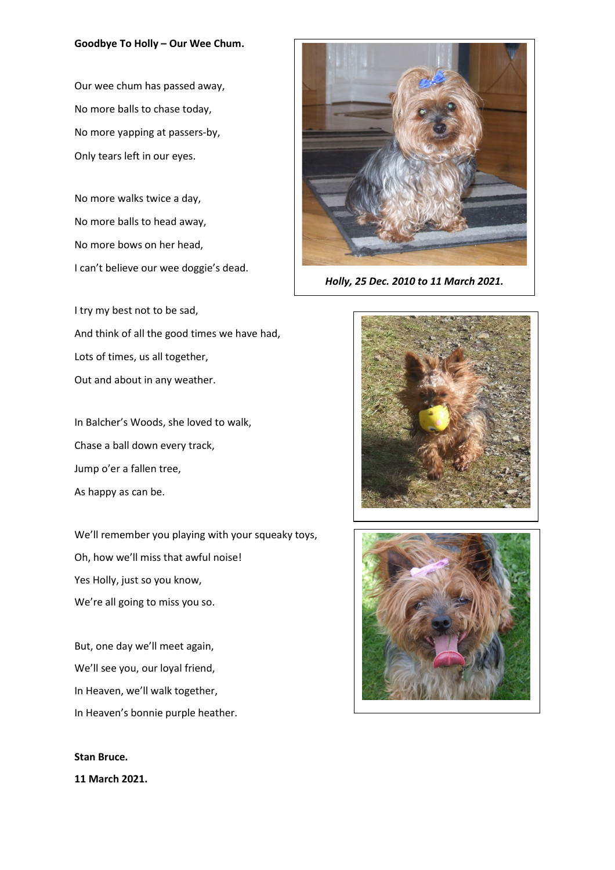## **Goodbye To Holly – Our Wee Chum.**

Our wee chum has passed away, No more balls to chase today, No more yapping at passers-by, Only tears left in our eyes.

No more walks twice a day, No more balls to head away, No more bows on her head, I can't believe our wee doggie's dead.

I try my best not to be sad, And think of all the good times we have had, Lots of times, us all together, Out and about in any weather.

In Balcher's Woods, she loved to walk, Chase a ball down every track, Jump o'er a fallen tree, As happy as can be.

We'll remember you playing with your squeaky toys, Oh, how we'll miss that awful noise! Yes Holly, just so you know, We're all going to miss you so.

But, one day we'll meet again, We'll see you, our loyal friend, In Heaven, we'll walk together, In Heaven's bonnie purple heather.

**Stan Bruce. 11 March 2021.** 



*Holly, 25 Dec. 2010 to 11 March 2021.*